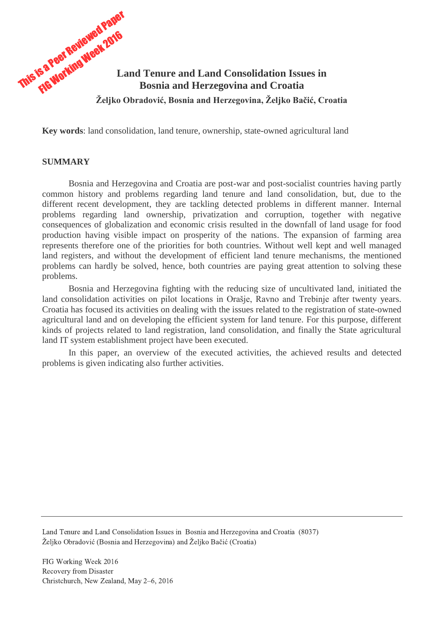

**Key words**: land consolidation, land tenure, ownership, state-owned agricultural land

#### **SUMMARY**

Bosnia and Herzegovina and Croatia are post-war and post-socialist countries having partly common history and problems regarding land tenure and land consolidation, but, due to the different recent development, they are tackling detected problems in different manner. Internal problems regarding land ownership, privatization and corruption, together with negative consequences of globalization and economic crisis resulted in the downfall of land usage for food production having visible impact on prosperity of the nations. The expansion of farming area represents therefore one of the priorities for both countries. Without well kept and well managed land registers, and without the development of efficient land tenure mechanisms, the mentioned problems can hardly be solved, hence, both countries are paying great attention to solving these problems.

Bosnia and Herzegovina fighting with the reducing size of uncultivated land, initiated the land consolidation activities on pilot locations in Orašje, Ravno and Trebinje after twenty years. Croatia has focused its activities on dealing with the issues related to the registration of state-owned agricultural land and on developing the efficient system for land tenure. For this purpose, different kinds of projects related to land registration, land consolidation, and finally the State agricultural land IT system establishment project have been executed.

In this paper, an overview of the executed activities, the achieved results and detected problems is given indicating also further activities.

Land Tenure and Land Consolidation Issues in Bosnia and Herzegovina and Croatia (8037) Željko Obradović (Bosnia and Herzegovina) and Željko Bačić (Croatia)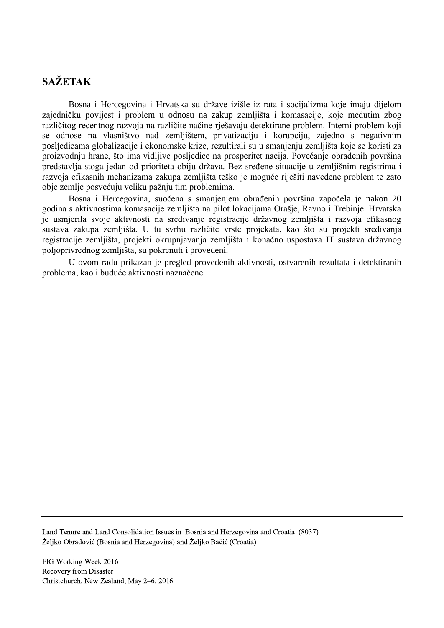# **SAŽETAK**

Bosna i Hercegovina i Hrvatska su države izišle iz rata i socijalizma koje imaju dijelom zajedničku povijest i problem u odnosu na zakup zemljišta i komasacije, koje međutim zbog različitog recentnog razvoja na različite načine rješavaju detektirane problem. Interni problem koji se odnose na vlasništvo nad zemljištem, privatizaciju i korupciju, zajedno s negativnim posljedicama globalizacije i ekonomske krize, rezultirali su u smanjenju zemljišta koje se koristi za proizvodnju hrane, što ima vidljive posljedice na prosperitet nacija. Povećanje obrađenih površina predstavlja stoga jedan od prioriteta obiju država. Bez sređene situacije u zemljišnim registrima i razvoja efikasnih mehanizama zakupa zemljišta teško je moguće riješiti navedene problem te zato obje zemlje posvećuju veliku pažnju tim problemima.

Bosna i Hercegovina, suočena s smanjenjem obrađenih površina započela je nakon 20 godina s aktivnostima komasacije zemljišta na pilot lokacijama Orašje, Ravno i Trebinje. Hrvatska je usmjerila svoje aktivnosti na sređivanje registracije državnog zemljišta i razvoja efikasnog sustava zakupa zemljišta. U tu svrhu različite vrste projekata, kao što su projekti sređivanja registracije zemljišta, projekti okrupnjavanja zemljišta i konačno uspostava IT sustava državnog poljoprivrednog zemljišta, su pokrenuti i provedeni.

U ovom radu prikazan je pregled provedenih aktivnosti, ostvarenih rezultata i detektiranih problema, kao i buduće aktivnosti naznačene.

Land Tenure and Land Consolidation Issues in Bosnia and Herzegovina and Croatia (8037) Željko Obradović (Bosnia and Herzegovina) and Željko Bačić (Croatia)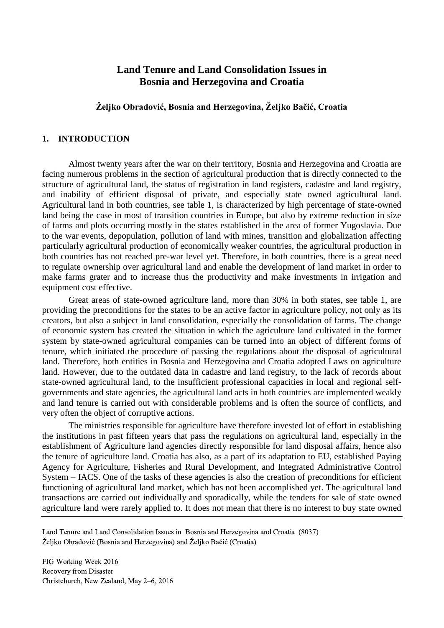# **Land Tenure and Land Consolidation Issues in Bosnia and Herzegovina and Croatia**

## **Željko Obradović, Bosnia and Herzegovina, Željko Bačić, Croatia**

#### **1. INTRODUCTION**

Almost twenty years after the war on their territory, Bosnia and Herzegovina and Croatia are facing numerous problems in the section of agricultural production that is directly connected to the structure of agricultural land, the status of registration in land registers, cadastre and land registry, and inability of efficient disposal of private, and especially state owned agricultural land. Agricultural land in both countries, see table 1, is characterized by high percentage of state-owned land being the case in most of transition countries in Europe, but also by extreme reduction in size of farms and plots occurring mostly in the states established in the area of former Yugoslavia. Due to the war events, depopulation, pollution of land with mines, transition and globalization affecting particularly agricultural production of economically weaker countries, the agricultural production in both countries has not reached pre-war level yet. Therefore, in both countries, there is a great need to regulate ownership over agricultural land and enable the development of land market in order to make farms grater and to increase thus the productivity and make investments in irrigation and equipment cost effective.

Great areas of state-owned agriculture land, more than 30% in both states, see table 1, are providing the preconditions for the states to be an active factor in agriculture policy, not only as its creators, but also a subject in land consolidation, especially the consolidation of farms. The change of economic system has created the situation in which the agriculture land cultivated in the former system by state-owned agricultural companies can be turned into an object of different forms of tenure, which initiated the procedure of passing the regulations about the disposal of agricultural land. Therefore, both entities in Bosnia and Herzegovina and Croatia adopted Laws on agriculture land. However, due to the outdated data in cadastre and land registry, to the lack of records about state-owned agricultural land, to the insufficient professional capacities in local and regional selfgovernments and state agencies, the agricultural land acts in both countries are implemented weakly and land tenure is carried out with considerable problems and is often the source of conflicts, and very often the object of corruptive actions.

The ministries responsible for agriculture have therefore invested lot of effort in establishing the institutions in past fifteen years that pass the regulations on agricultural land, especially in the establishment of Agriculture land agencies directly responsible for land disposal affairs, hence also the tenure of agriculture land. Croatia has also, as a part of its adaptation to EU, established Paying Agency for Agriculture, Fisheries and Rural Development, and Integrated Administrative Control System – IACS. One of the tasks of these agencies is also the creation of preconditions for efficient functioning of agricultural land market, which has not been accomplished yet. The agricultural land transactions are carried out individually and sporadically, while the tenders for sale of state owned agriculture land were rarely applied to. It does not mean that there is no interest to buy state owned

Land Tenure and Land Consolidation Issues in Bosnia and Herzegovina and Croatia (8037) Željko Obradović (Bosnia and Herzegovina) and Željko Bačić (Croatia)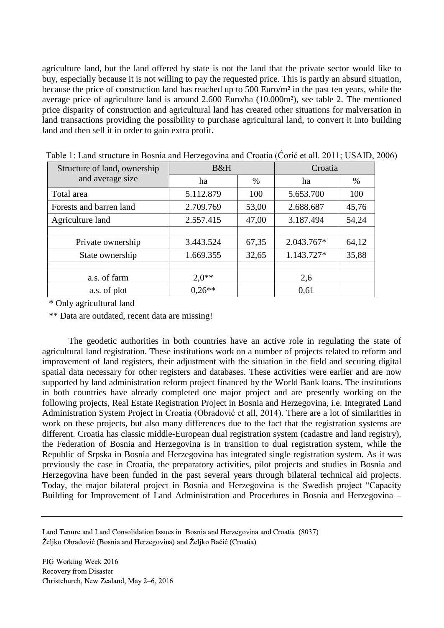agriculture land, but the land offered by state is not the land that the private sector would like to buy, especially because it is not willing to pay the requested price. This is partly an absurd situation, because the price of construction land has reached up to 500 Euro/m² in the past ten years, while the average price of agriculture land is around 2.600 Euro/ha (10.000m²), see table 2. The mentioned price disparity of construction and agricultural land has created other situations for malversation in land transactions providing the possibility to purchase agricultural land, to convert it into building land and then sell it in order to gain extra profit.

| Structure of land, ownership | B&H       |       | Croatia    |       |
|------------------------------|-----------|-------|------------|-------|
| and average size             | ha        | $\%$  | ha         | $\%$  |
| Total area                   | 5.112.879 | 100   | 5.653.700  | 100   |
| Forests and barren land      | 2.709.769 | 53,00 | 2.688.687  | 45,76 |
| Agriculture land             | 2.557.415 | 47,00 | 3.187.494  | 54,24 |
|                              |           |       |            |       |
| Private ownership            | 3.443.524 | 67,35 | 2.043.767* | 64,12 |
| State ownership              | 1.669.355 | 32,65 | 1.143.727* | 35,88 |
|                              |           |       |            |       |
| a.s. of farm                 | $2.0**$   |       | 2,6        |       |
| a.s. of plot                 | $0.26**$  |       | 0,61       |       |

Table 1: Land structure in Bosnia and Herzegovina and Croatia (Ćorić et all. 2011; USAID, 2006)

\* Only agricultural land

\*\* Data are outdated, recent data are missing!

The geodetic authorities in both countries have an active role in regulating the state of agricultural land registration. These institutions work on a number of projects related to reform and improvement of land registers, their adjustment with the situation in the field and securing digital spatial data necessary for other registers and databases. These activities were earlier and are now supported by land administration reform project financed by the World Bank loans. The institutions in both countries have already completed one major project and are presently working on the following projects, Real Estate Registration Project in Bosnia and Herzegovina, i.e. Integrated Land Administration System Project in Croatia (Obradović et all, 2014). There are a lot of similarities in work on these projects, but also many differences due to the fact that the registration systems are different. Croatia has classic middle-European dual registration system (cadastre and land registry), the Federation of Bosnia and Herzegovina is in transition to dual registration system, while the Republic of Srpska in Bosnia and Herzegovina has integrated single registration system. As it was previously the case in Croatia, the preparatory activities, pilot projects and studies in Bosnia and Herzegovina have been funded in the past several years through bilateral technical aid projects. Today, the major bilateral project in Bosnia and Herzegovina is the Swedish project "Capacity Building for Improvement of Land Administration and Procedures in Bosnia and Herzegovina –

Land Tenure and Land Consolidation Issues in Bosnia and Herzegovina and Croatia (8037) Željko Obradović (Bosnia and Herzegovina) and Željko Bačić (Croatia)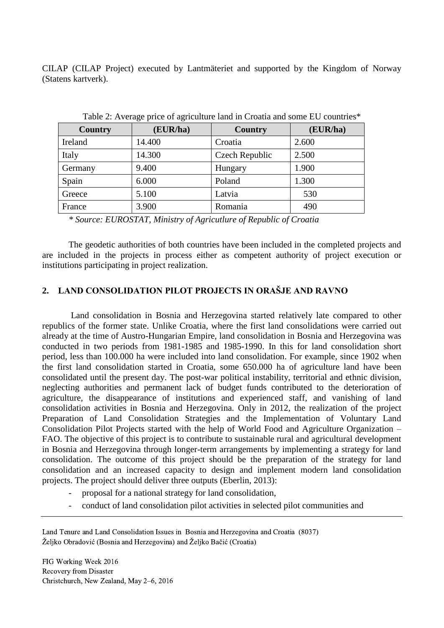CILAP (CILAP Project) executed by Lantmäteriet and supported by the Kingdom of Norway (Statens kartverk).

| <b>Country</b> | (EUR/ha) | Country        | (EUR/ha) |
|----------------|----------|----------------|----------|
| Ireland        | 14.400   | Croatia        | 2.600    |
| Italy          | 14.300   | Czech Republic | 2.500    |
| Germany        | 9.400    | Hungary        | 1.900    |
| Spain          | 6.000    | Poland         | 1.300    |
| Greece         | 5.100    | Latvia         | 530      |
| France         | 3.900    | Romania        | 490      |

Table 2: Average price of agriculture land in Croatia and some EU countries\*

The geodetic authorities of both countries have been included in the completed projects and are included in the projects in process either as competent authority of project execution or institutions participating in project realization.

## **2. LAND CONSOLIDATION PILOT PROJECTS IN ORAŠJE AND RAVNO**

Land consolidation in Bosnia and Herzegovina started relatively late compared to other republics of the former state. Unlike Croatia, where the first land consolidations were carried out already at the time of Austro-Hungarian Empire, land consolidation in Bosnia and Herzegovina was conducted in two periods from 1981-1985 and 1985-1990. In this for land consolidation short period, less than 100.000 ha were included into land consolidation. For example, since 1902 when the first land consolidation started in Croatia, some 650.000 ha of agriculture land have been consolidated until the present day. The post-war political instability, territorial and ethnic division, neglecting authorities and permanent lack of budget funds contributed to the deterioration of agriculture, the disappearance of institutions and experienced staff, and vanishing of land consolidation activities in Bosnia and Herzegovina. Only in 2012, the realization of the project Preparation of Land Consolidation Strategies and the Implementation of Voluntary Land Consolidation Pilot Projects started with the help of World Food and Agriculture Organization – FAO. The objective of this project is to contribute to sustainable rural and agricultural development in Bosnia and Herzegovina through longer-term arrangements by implementing a strategy for land consolidation. The outcome of this project should be the preparation of the strategy for land consolidation and an increased capacity to design and implement modern land consolidation projects. The project should deliver three outputs (Eberlin, 2013):

- proposal for a national strategy for land consolidation,
- conduct of land consolidation pilot activities in selected pilot communities and

*<sup>\*</sup> Source: EUROSTAT, Ministry of Agricutlure of Republic of Croatia*

Land Tenure and Land Consolidation Issues in Bosnia and Herzegovina and Croatia (8037) Željko Obradović (Bosnia and Herzegovina) and Željko Bačić (Croatia)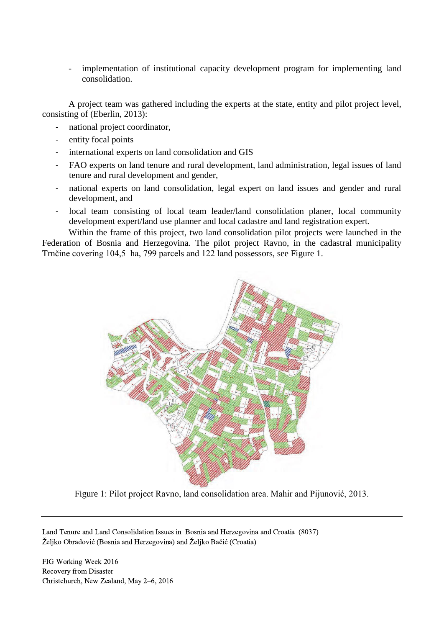- implementation of institutional capacity development program for implementing land consolidation.

A project team was gathered including the experts at the state, entity and pilot project level, consisting of (Eberlin, 2013):

- national project coordinator,
- entity focal points
- international experts on land consolidation and GIS
- FAO experts on land tenure and rural development, land administration, legal issues of land tenure and rural development and gender,
- national experts on land consolidation, legal expert on land issues and gender and rural development, and
- local team consisting of local team leader/land consolidation planer, local community development expert/land use planner and local cadastre and land registration expert.

Within the frame of this project, two land consolidation pilot projects were launched in the Federation of Bosnia and Herzegovina. The pilot project Ravno, in the cadastral municipality Trnčine covering 104,5 ha, 799 parcels and 122 land possessors, see Figure 1.



Figure 1: Pilot project Ravno, land consolidation area. Mahir and Pijunović, 2013.

Land Tenure and Land Consolidation Issues in Bosnia and Herzegovina and Croatia (8037) Željko Obradović (Bosnia and Herzegovina) and Željko Bačić (Croatia)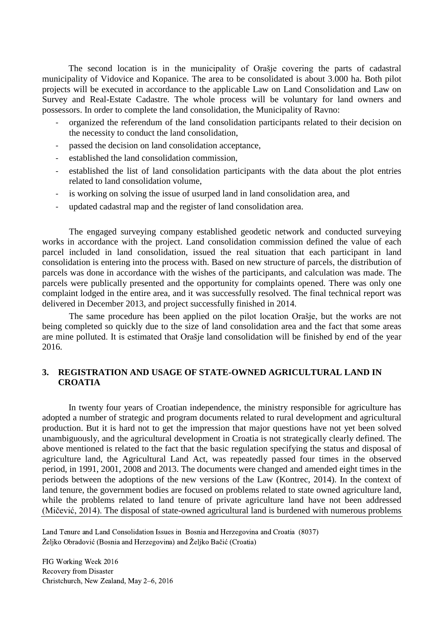The second location is in the municipality of Orašje covering the parts of cadastral municipality of Vidovice and Kopanice. The area to be consolidated is about 3.000 ha. Both pilot projects will be executed in accordance to the applicable Law on Land Consolidation and Law on Survey and Real-Estate Cadastre. The whole process will be voluntary for land owners and possessors. In order to complete the land consolidation, the Municipality of Ravno:

- organized the referendum of the land consolidation participants related to their decision on the necessity to conduct the land consolidation,
- passed the decision on land consolidation acceptance,
- established the land consolidation commission,
- established the list of land consolidation participants with the data about the plot entries related to land consolidation volume,
- is working on solving the issue of usurped land in land consolidation area, and
- updated cadastral map and the register of land consolidation area.

The engaged surveying company established geodetic network and conducted surveying works in accordance with the project. Land consolidation commission defined the value of each parcel included in land consolidation, issued the real situation that each participant in land consolidation is entering into the process with. Based on new structure of parcels, the distribution of parcels was done in accordance with the wishes of the participants, and calculation was made. The parcels were publically presented and the opportunity for complaints opened. There was only one complaint lodged in the entire area, and it was successfully resolved. The final technical report was delivered in December 2013, and project successfully finished in 2014.

The same procedure has been applied on the pilot location Orašje, but the works are not being completed so quickly due to the size of land consolidation area and the fact that some areas are mine polluted. It is estimated that Orašje land consolidation will be finished by end of the year 2016.

### **3. REGISTRATION AND USAGE OF STATE-OWNED AGRICULTURAL LAND IN CROATIA**

In twenty four years of Croatian independence, the ministry responsible for agriculture has adopted a number of strategic and program documents related to rural development and agricultural production. But it is hard not to get the impression that major questions have not yet been solved unambiguously, and the agricultural development in Croatia is not strategically clearly defined. The above mentioned is related to the fact that the basic regulation specifying the status and disposal of agriculture land, the Agricultural Land Act, was repeatedly passed four times in the observed period, in 1991, 2001, 2008 and 2013. The documents were changed and amended eight times in the periods between the adoptions of the new versions of the Law (Kontrec, 2014). In the context of land tenure, the government bodies are focused on problems related to state owned agriculture land, while the problems related to land tenure of private agriculture land have not been addressed (Mičević, 2014). The disposal of state-owned agricultural land is burdened with numerous problems

Land Tenure and Land Consolidation Issues in Bosnia and Herzegovina and Croatia (8037) Željko Obradović (Bosnia and Herzegovina) and Željko Bačić (Croatia)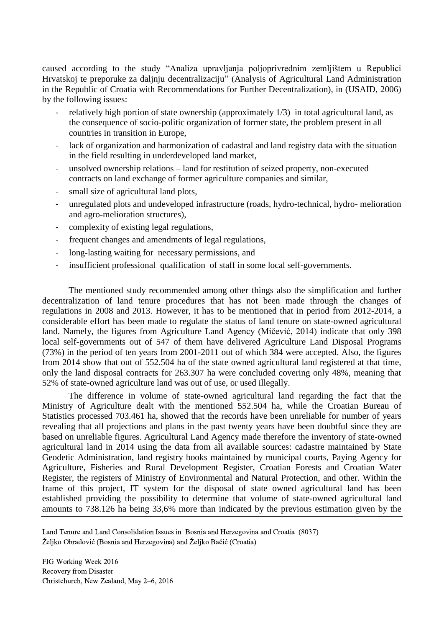caused according to the study "Analiza upravljanja poljoprivrednim zemljištem u Republici Hrvatskoj te preporuke za daljnju decentralizaciju" (Analysis of Agricultural Land Administration in the Republic of Croatia with Recommendations for Further Decentralization), in (USAID, 2006) by the following issues:

- relatively high portion of state ownership (approximately  $1/3$ ) in total agricultural land, as the consequence of socio-politic organization of former state, the problem present in all countries in transition in Europe,
- lack of organization and harmonization of cadastral and land registry data with the situation in the field resulting in underdeveloped land market,
- unsolved ownership relations land for restitution of seized property, non-executed contracts on land exchange of former agriculture companies and similar,
- small size of agricultural land plots,
- unregulated plots and undeveloped infrastructure (roads, hydro-technical, hydro- melioration and agro-melioration structures),
- complexity of existing legal regulations,
- frequent changes and amendments of legal regulations,
- long-lasting waiting for necessary permissions, and
- insufficient professional qualification of staff in some local self-governments.

The mentioned study recommended among other things also the simplification and further decentralization of land tenure procedures that has not been made through the changes of regulations in 2008 and 2013. However, it has to be mentioned that in period from 2012-2014, a considerable effort has been made to regulate the status of land tenure on state-owned agricultural land. Namely, the figures from Agriculture Land Agency (Mičević, 2014) indicate that only 398 local self-governments out of 547 of them have delivered Agriculture Land Disposal Programs (73%) in the period of ten years from 2001-2011 out of which 384 were accepted. Also, the figures from 2014 show that out of 552.504 ha of the state owned agricultural land registered at that time, only the land disposal contracts for 263.307 ha were concluded covering only 48%, meaning that 52% of state-owned agriculture land was out of use, or used illegally.

The difference in volume of state-owned agricultural land regarding the fact that the Ministry of Agriculture dealt with the mentioned 552.504 ha, while the Croatian Bureau of Statistics processed 703.461 ha, showed that the records have been unreliable for number of years revealing that all projections and plans in the past twenty years have been doubtful since they are based on unreliable figures. Agricultural Land Agency made therefore the inventory of state-owned agricultural land in 2014 using the data from all available sources: cadastre maintained by State Geodetic Administration, land registry books maintained by municipal courts, Paying Agency for Agriculture, Fisheries and Rural Development Register, Croatian Forests and Croatian Water Register, the registers of Ministry of Environmental and Natural Protection, and other. Within the frame of this project, IT system for the disposal of state owned agricultural land has been established providing the possibility to determine that volume of state-owned agricultural land amounts to 738.126 ha being 33,6% more than indicated by the previous estimation given by the

Land Tenure and Land Consolidation Issues in Bosnia and Herzegovina and Croatia (8037) Željko Obradović (Bosnia and Herzegovina) and Željko Bačić (Croatia)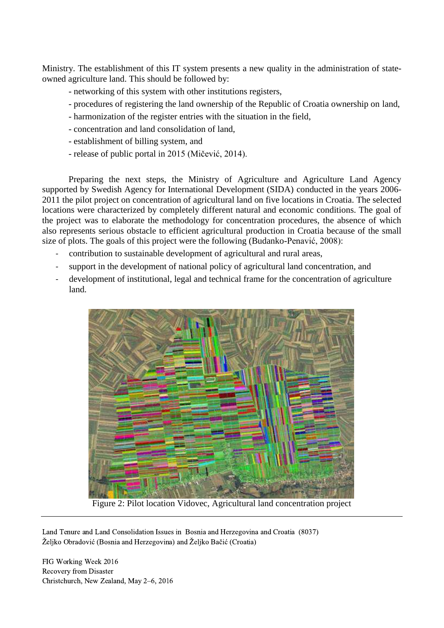Ministry. The establishment of this IT system presents a new quality in the administration of stateowned agriculture land. This should be followed by:

- networking of this system with other institutions registers,
- procedures of registering the land ownership of the Republic of Croatia ownership on land,
- harmonization of the register entries with the situation in the field,
- concentration and land consolidation of land,
- establishment of billing system, and
- release of public portal in 2015 (Mičević, 2014).

Preparing the next steps, the Ministry of Agriculture and Agriculture Land Agency supported by Swedish Agency for International Development (SIDA) conducted in the years 2006- 2011 the pilot project on concentration of agricultural land on five locations in Croatia. The selected locations were characterized by completely different natural and economic conditions. The goal of the project was to elaborate the methodology for concentration procedures, the absence of which also represents serious obstacle to efficient agricultural production in Croatia because of the small size of plots. The goals of this project were the following (Budanko-Penavić, 2008):

- contribution to sustainable development of agricultural and rural areas,
- support in the development of national policy of agricultural land concentration, and
- development of institutional, legal and technical frame for the concentration of agriculture land.



Figure 2: Pilot location Vidovec, Agricultural land concentration project

Land Tenure and Land Consolidation Issues in Bosnia and Herzegovina and Croatia (8037) Željko Obradović (Bosnia and Herzegovina) and Željko Bačić (Croatia)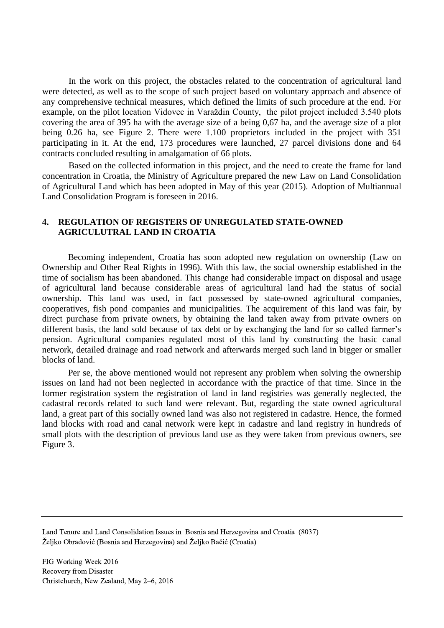In the work on this project, the obstacles related to the concentration of agricultural land were detected, as well as to the scope of such project based on voluntary approach and absence of any comprehensive technical measures, which defined the limits of such procedure at the end. For example, on the pilot location Vidovec in Varaždin County, the pilot project included 3.540 plots covering the area of 395 ha with the average size of a being 0,67 ha, and the average size of a plot being 0.26 ha, see Figure 2. There were 1.100 proprietors included in the project with 351 participating in it. At the end, 173 procedures were launched, 27 parcel divisions done and 64 contracts concluded resulting in amalgamation of 66 plots.

Based on the collected information in this project, and the need to create the frame for land concentration in Croatia, the Ministry of Agriculture prepared the new Law on Land Consolidation of Agricultural Land which has been adopted in May of this year (2015). Adoption of Multiannual Land Consolidation Program is foreseen in 2016.

## **4. REGULATION OF REGISTERS OF UNREGULATED STATE-OWNED AGRICULUTRAL LAND IN CROATIA**

Becoming independent, Croatia has soon adopted new regulation on ownership (Law on Ownership and Other Real Rights in 1996). With this law, the social ownership established in the time of socialism has been abandoned. This change had considerable impact on disposal and usage of agricultural land because considerable areas of agricultural land had the status of social ownership. This land was used, in fact possessed by state-owned agricultural companies, cooperatives, fish pond companies and municipalities. The acquirement of this land was fair, by direct purchase from private owners, by obtaining the land taken away from private owners on different basis, the land sold because of tax debt or by exchanging the land for so called farmer's pension. Agricultural companies regulated most of this land by constructing the basic canal network, detailed drainage and road network and afterwards merged such land in bigger or smaller blocks of land.

Per se, the above mentioned would not represent any problem when solving the ownership issues on land had not been neglected in accordance with the practice of that time. Since in the former registration system the registration of land in land registries was generally neglected, the cadastral records related to such land were relevant. But, regarding the state owned agricultural land, a great part of this socially owned land was also not registered in cadastre. Hence, the formed land blocks with road and canal network were kept in cadastre and land registry in hundreds of small plots with the description of previous land use as they were taken from previous owners, see Figure 3.

Land Tenure and Land Consolidation Issues in Bosnia and Herzegovina and Croatia (8037) Željko Obradović (Bosnia and Herzegovina) and Željko Bačić (Croatia)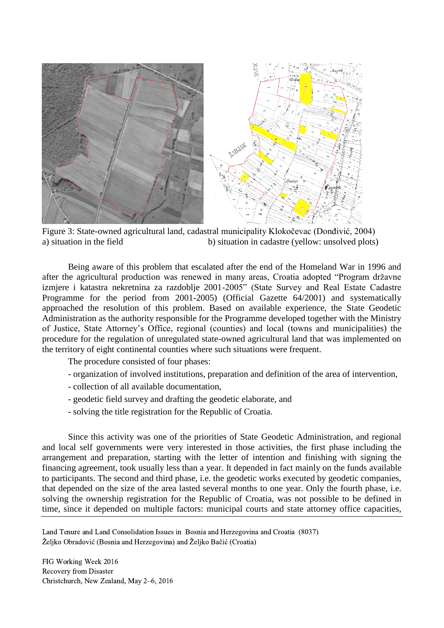

Figure 3: State-owned agricultural land, cadastral municipality Klokočevac (Donđivić, 2004) a) situation in the field b) situation in cadastre (yellow: unsolved plots)

Being aware of this problem that escalated after the end of the Homeland War in 1996 and after the agricultural production was renewed in many areas, Croatia adopted "Program državne izmjere i katastra nekretnina za razdoblje 2001-2005" (State Survey and Real Estate Cadastre Programme for the period from 2001-2005) (Official Gazette 64/2001) and systematically approached the resolution of this problem. Based on available experience, the State Geodetic Administration as the authority responsible for the Programme developed together with the Ministry of Justice, State Attorney's Office, regional (counties) and local (towns and municipalities) the procedure for the regulation of unregulated state-owned agricultural land that was implemented on the territory of eight continental counties where such situations were frequent.

The procedure consisted of four phases:

- organization of involved institutions, preparation and definition of the area of intervention,
- collection of all available documentation,
- geodetic field survey and drafting the geodetic elaborate, and
- solving the title registration for the Republic of Croatia.

Since this activity was one of the priorities of State Geodetic Administration, and regional and local self governments were very interested in those activities, the first phase including the arrangement and preparation, starting with the letter of intention and finishing with signing the financing agreement, took usually less than a year. It depended in fact mainly on the funds available to participants. The second and third phase, i.e. the geodetic works executed by geodetic companies, that depended on the size of the area lasted several months to one year. Only the fourth phase, i.e. solving the ownership registration for the Republic of Croatia, was not possible to be defined in time, since it depended on multiple factors: municipal courts and state attorney office capacities,

Land Tenure and Land Consolidation Issues in Bosnia and Herzegovina and Croatia (8037) Željko Obradović (Bosnia and Herzegovina) and Željko Bačić (Croatia)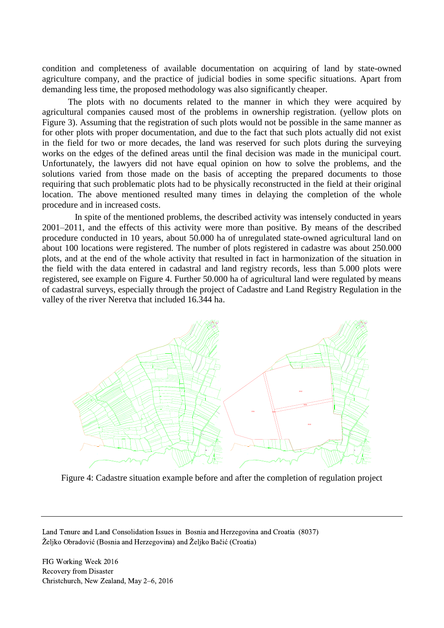condition and completeness of available documentation on acquiring of land by state-owned agriculture company, and the practice of judicial bodies in some specific situations. Apart from demanding less time, the proposed methodology was also significantly cheaper.

The plots with no documents related to the manner in which they were acquired by agricultural companies caused most of the problems in ownership registration. (yellow plots on Figure 3). Assuming that the registration of such plots would not be possible in the same manner as for other plots with proper documentation, and due to the fact that such plots actually did not exist in the field for two or more decades, the land was reserved for such plots during the surveying works on the edges of the defined areas until the final decision was made in the municipal court. Unfortunately, the lawyers did not have equal opinion on how to solve the problems, and the solutions varied from those made on the basis of accepting the prepared documents to those requiring that such problematic plots had to be physically reconstructed in the field at their original location. The above mentioned resulted many times in delaying the completion of the whole procedure and in increased costs.

 In spite of the mentioned problems, the described activity was intensely conducted in years 2001–2011, and the effects of this activity were more than positive. By means of the described procedure conducted in 10 years, about 50.000 ha of unregulated state-owned agricultural land on about 100 locations were registered. The number of plots registered in cadastre was about 250.000 plots, and at the end of the whole activity that resulted in fact in harmonization of the situation in the field with the data entered in cadastral and land registry records, less than 5.000 plots were registered, see example on Figure 4. Further 50.000 ha of agricultural land were regulated by means of cadastral surveys, especially through the project of Cadastre and Land Registry Regulation in the valley of the river Neretva that included 16.344 ha.



Figure 4: Cadastre situation example before and after the completion of regulation project

Land Tenure and Land Consolidation Issues in Bosnia and Herzegovina and Croatia (8037) Željko Obradović (Bosnia and Herzegovina) and Željko Bačić (Croatia)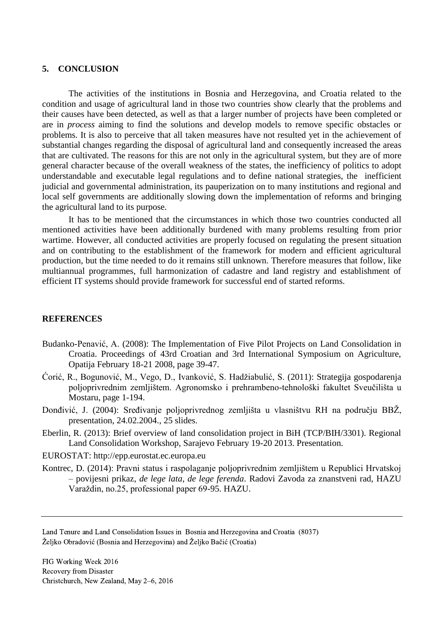#### **5. CONCLUSION**

The activities of the institutions in Bosnia and Herzegovina, and Croatia related to the condition and usage of agricultural land in those two countries show clearly that the problems and their causes have been detected, as well as that a larger number of projects have been completed or are in *process* aiming to find the solutions and develop models to remove specific obstacles or problems. It is also to perceive that all taken measures have not resulted yet in the achievement of substantial changes regarding the disposal of agricultural land and consequently increased the areas that are cultivated. The reasons for this are not only in the agricultural system, but they are of more general character because of the overall weakness of the states, the inefficiency of politics to adopt understandable and executable legal regulations and to define national strategies, the inefficient judicial and governmental administration, its pauperization on to many institutions and regional and local self governments are additionally slowing down the implementation of reforms and bringing the agricultural land to its purpose.

It has to be mentioned that the circumstances in which those two countries conducted all mentioned activities have been additionally burdened with many problems resulting from prior wartime. However, all conducted activities are properly focused on regulating the present situation and on contributing to the establishment of the framework for modern and efficient agricultural production, but the time needed to do it remains still unknown. Therefore measures that follow, like multiannual programmes, full harmonization of cadastre and land registry and establishment of efficient IT systems should provide framework for successful end of started reforms.

#### **REFERENCES**

- Budanko-Penavić, A. (2008): The Implementation of Five Pilot Projects on Land Consolidation in Croatia. Proceedings of 43rd Croatian and 3rd International Symposium on Agriculture, Opatija February 18-21 2008, page 39-47.
- Ćorić, R., Bogunović, M., Vego, D., Ivanković, S. Hadžiabulić, S. (2011): Strategija gospodarenja poljoprivrednim zemljištem. Agronomsko i prehrambeno-tehnološki fakultet Sveučilišta u Mostaru, page 1-194.
- Donđivić, J. (2004): Sređivanje poljoprivrednog zemljišta u vlasništvu RH na području BBŽ, presentation, 24.02.2004., 25 slides.
- Eberlin, R. (2013): Brief overview of land consolidation project in BiH (TCP/BIH/3301). Regional Land Consolidation Workshop, Sarajevo February 19-20 2013. Presentation.
- EUROSTAT: http://epp.eurostat.ec.europa.eu
- Kontrec, D. (2014): Pravni status i raspolaganje poljoprivrednim zemljištem u Republici Hrvatskoj – povijesni prikaz, *de lege lata, de lege ferenda*. Radovi Zavoda za znanstveni rad, HAZU Varaždin, no.25, professional paper 69-95. HAZU.

Land Tenure and Land Consolidation Issues in Bosnia and Herzegovina and Croatia (8037) Željko Obradović (Bosnia and Herzegovina) and Željko Bačić (Croatia)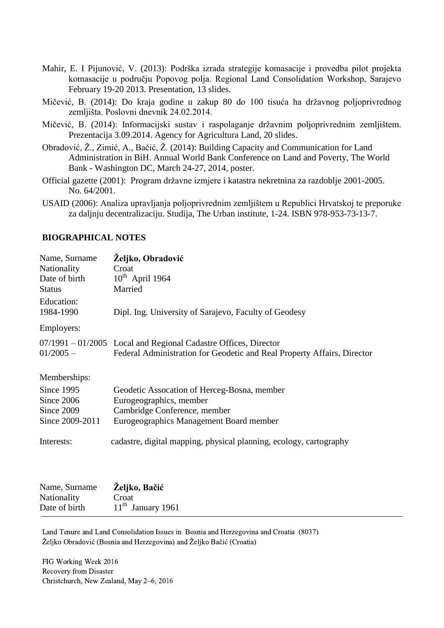- Mahir, E. I Pijunović, V. (2013): Podrška izrada strategije komasacije i provedba pilot projekta komasacije u području Popovog polja. Regional Land Consolidation Workshop, Sarajevo February 19-20 2013. Presentation, 13 slides.
- Mičević, B. (2014): Do kraja godine u zakup 80 do 100 tisuća ha državnog poljoprivrednog zemljišta. Poslovni dnevnik 24.02.2014.
- Mičević, B. (2014): Informacijski sustav i raspolaganje državnim poljoprivrednim zemljištem. Prezentacija 3.09.2014. Agency for Agricultura Land, 20 slides.
- Obradović, Ž., Zimić, A., Bačić, Ž. (2014): Building Capacity and Communication for Land Administration in BiH. Annual World Bank Conference on Land and Poverty, The World Bank - Washington DC, March 24-27, 2014, poster.
- Official gazette (2001): Program državne izmjere i katastra nekretnina za razdoblje 2001-2005. No. 64/2001.
- USAID (2006): Analiza upravljanja poljoprivrednim zemljištem u Republici Hrvatskoj te preporuke za daljnju decentralizaciju. Studija, The Urban institute, 1-24. ISBN 978-953-73-13-7.

### **BIOGRAPHICAL NOTES**

| Name, Surname   | Željko, Obradović                                                                                                                            |
|-----------------|----------------------------------------------------------------------------------------------------------------------------------------------|
| Nationality     | Croat                                                                                                                                        |
| Date of birth   | $10^{th}$ April 1964                                                                                                                         |
| <b>Status</b>   | Married                                                                                                                                      |
| Education:      |                                                                                                                                              |
| 1984-1990       | Dipl. Ing. University of Sarajevo, Faculty of Geodesy                                                                                        |
| Employers:      |                                                                                                                                              |
| $01/2005 -$     | $07/1991 - 01/2005$ Local and Regional Cadastre Offices, Director<br>Federal Administration for Geodetic and Real Property Affairs, Director |
| Memberships:    |                                                                                                                                              |
| Since 1995      | Geodetic Assocation of Herceg-Bosna, member                                                                                                  |
| Since 2006      | Eurogeographics, member                                                                                                                      |
| Since 2009      | Cambridge Conference, member                                                                                                                 |
| Since 2009-2011 | Eurogeographics Management Board member                                                                                                      |
| Interests:      | cadastre, digital mapping, physical planning, ecology, cartography                                                                           |

| Nationality<br>Croat<br>$11th$ January 1961<br>Date of birth | Name, Surname | Željko, Bačić |  |
|--------------------------------------------------------------|---------------|---------------|--|
|                                                              |               |               |  |
|                                                              |               |               |  |

Land Tenure and Land Consolidation Issues in Bosnia and Herzegovina and Croatia (8037) Željko Obradović (Bosnia and Herzegovina) and Željko Bačić (Croatia)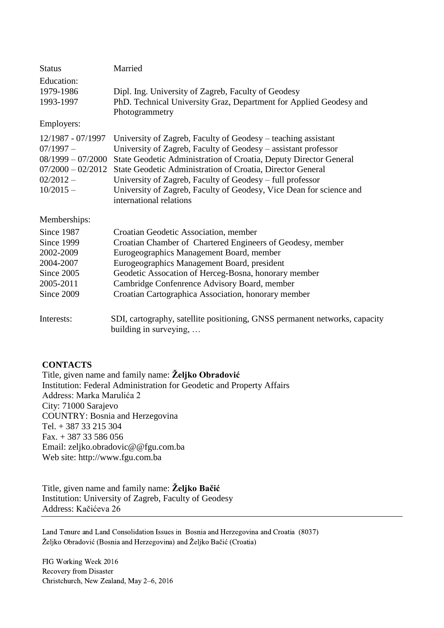| <b>Status</b>                                                                               | Married                                                                                                                                                                                                                                                                                                                                                                                                                                             |
|---------------------------------------------------------------------------------------------|-----------------------------------------------------------------------------------------------------------------------------------------------------------------------------------------------------------------------------------------------------------------------------------------------------------------------------------------------------------------------------------------------------------------------------------------------------|
| Education:<br>1979-1986<br>1993-1997                                                        | Dipl. Ing. University of Zagreb, Faculty of Geodesy<br>PhD. Technical University Graz, Department for Applied Geodesy and<br>Photogrammetry                                                                                                                                                                                                                                                                                                         |
| Employers:                                                                                  |                                                                                                                                                                                                                                                                                                                                                                                                                                                     |
| 12/1987 - 07/1997<br>$07/1997 -$<br>$08/1999 - 07/2000$<br>$02/2012 -$<br>$10/2015 -$       | University of Zagreb, Faculty of Geodesy – teaching assistant<br>University of Zagreb, Faculty of Geodesy – assistant professor<br>State Geodetic Administration of Croatia, Deputy Director General<br>07/2000 - 02/2012 State Geodetic Administration of Croatia, Director General<br>University of Zagreb, Faculty of Geodesy – full professor<br>University of Zagreb, Faculty of Geodesy, Vice Dean for science and<br>international relations |
| Memberships:                                                                                |                                                                                                                                                                                                                                                                                                                                                                                                                                                     |
| Since 1987<br>Since 1999<br>2002-2009<br>2004-2007<br>Since 2005<br>2005-2011<br>Since 2009 | Croatian Geodetic Association, member<br>Croatian Chamber of Chartered Engineers of Geodesy, member<br>Eurogeographics Management Board, member<br>Eurogeographics Management Board, president<br>Geodetic Assocation of Herceg-Bosna, honorary member<br>Cambridge Confenrence Advisory Board, member<br>Croatian Cartographica Association, honorary member                                                                                       |
| Interests:                                                                                  | SDI, cartography, satellite positioning, GNSS permanent networks, capacity<br>building in surveying,                                                                                                                                                                                                                                                                                                                                                |

## **CONTACTS**

Title, given name and family name: **Željko Obradović** Institution: Federal Administration for Geodetic and Property Affairs Address: Marka Marulića 2 City: 71000 Sarajevo COUNTRY: Bosnia and Herzegovina Tel. + 387 33 215 304 Fax. + 387 33 586 056 Email: zeljko.obradovic@@fgu.com.ba Web site: [http://www.fgu.com.ba](http://www.fgu.com.ba/)

Title, given name and family name: **Željko Bačić** Institution: University of Zagreb, Faculty of Geodesy Address: Kačićeva 26

Land Tenure and Land Consolidation Issues in Bosnia and Herzegovina and Croatia (8037) Željko Obradović (Bosnia and Herzegovina) and Željko Bačić (Croatia)